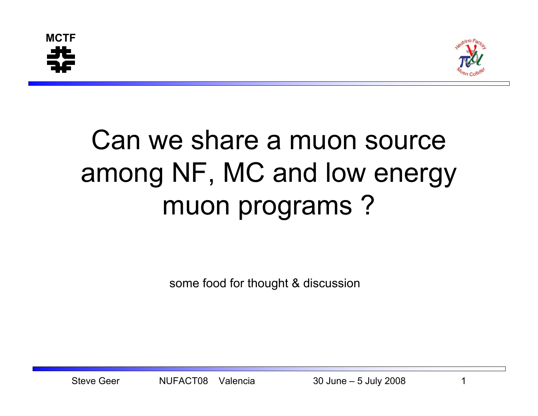



## Can we share a muon source among NF, MC and low energy muon programs ?

some food for thought & discussion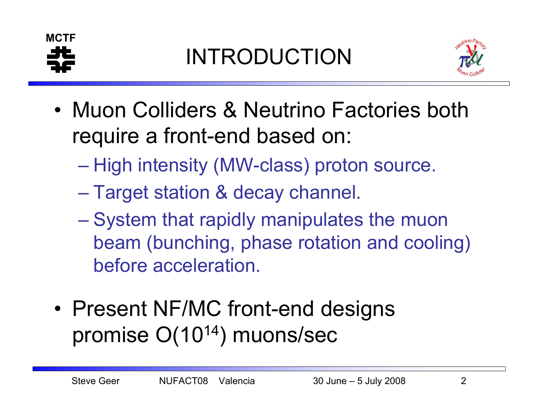



- Muon Colliders & Neutrino Factories both require a front-end based on:
	- High intensity (MW-class) proton source.
	- Target station & decay channel.
	- System that rapidly manipulates the muon beam (bunching, phase rotation and cooling) before acceleration.
- • Present NF/MC front-end designs promise O(1014) muons/sec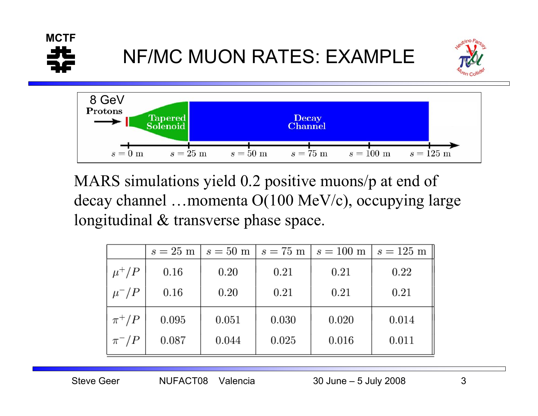

MARS simulations yield 0.2 positive muons/p at end of decay channel …momenta O(100 MeV/c), occupying large longitudinal & transverse phase space.

|           | $s=25$ m | $s=50$ m | $s=75$ m | $s = 100 \text{ m}$ | $s = 125 \; \text{m}$ |
|-----------|----------|----------|----------|---------------------|-----------------------|
| $\mu^+/P$ | 0.16     | 0.20     | 0.21     | 0.21                | 0.22                  |
| $\mu^-/P$ | 0.16     | 0.20     | 0.21     | 0.21                | 0.21                  |
| $\pi^+/P$ | 0.095    | 0.051    | 0.030    | 0.020               | 0.014                 |
| $\pi^-/P$ | 0.087    | 0.044    | 0.025    | 0.016               | 0.011                 |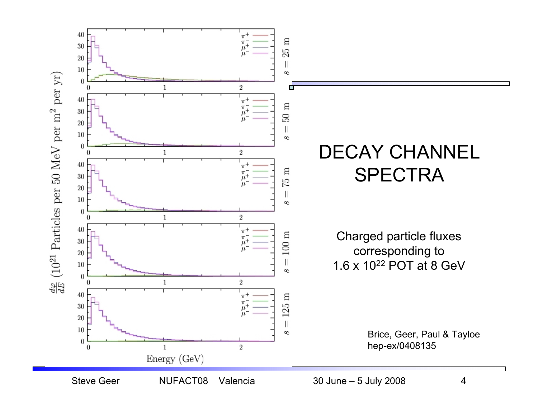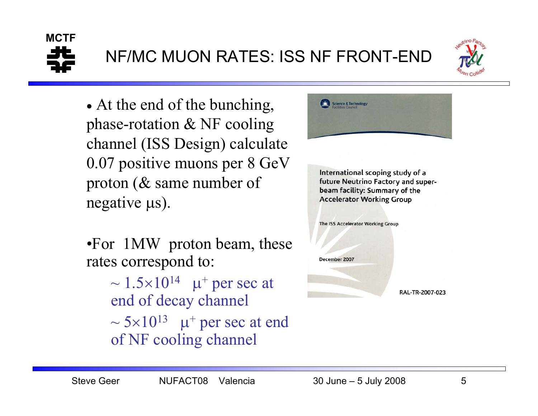



• At the end of the bunching, phase-rotation & NF cooling channel (ISS Design) calculate 0.07 positive muons per 8 GeV proton (& same number of negative  $\mu$ s).

•For 1MW proton beam, these rates correspond to:

> $\sim 1.5 \times 10^{14}$  µ<sup>+</sup> per sec at end of decay channel  $\sim 5 \times 10^{13}$  µ<sup>+</sup> per sec at end of NF cooling channel



International scoping study of a future Neutrino Factory and superbeam facility: Summary of the **Accelerator Working Group** 

The ISS Accelerator Working Group



RAL-TR-2007-023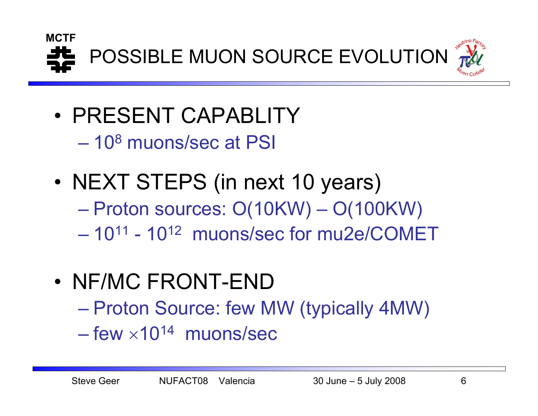

- PRESENT CAPABLITY $-$  10 $^{8}$  muons/sec at PSI
- • NEXT STEPS (in next 10 years) Proton sources: O(10KW) – O(100KW)  $-$  10<sup>11</sup> - 10<sup>12</sup> muons/sec for mu2e/COMET
- NF/MC FRONT-END Proton Source: few MW (typically 4MW) – few  $\times 10^{14}\,$  muons/sec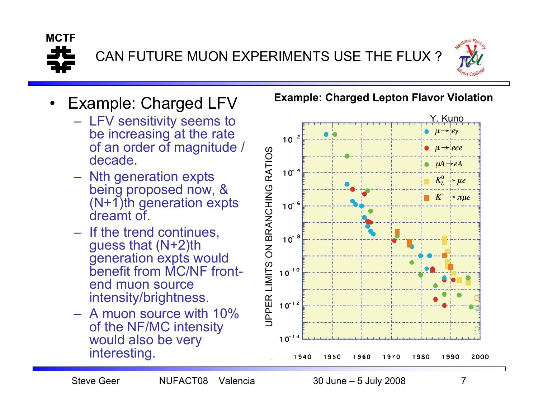



- • Example: Charged LFV
	- LFV sensitivity seems to be increasing at the rate of an order of magnitude / decade.
	- Nth generation expts being proposed now, &  $(N+1)$ th generation expts dreamt of.
	- If the trend continues, guess that (N+2)th generation expts would benefit from MC/NF frontend muon source intensity/brightness.
	- A muon source with 10% of the NF/MC intensity would also be very interesting.

## **Example: Charged Lepton Flavor Violation**

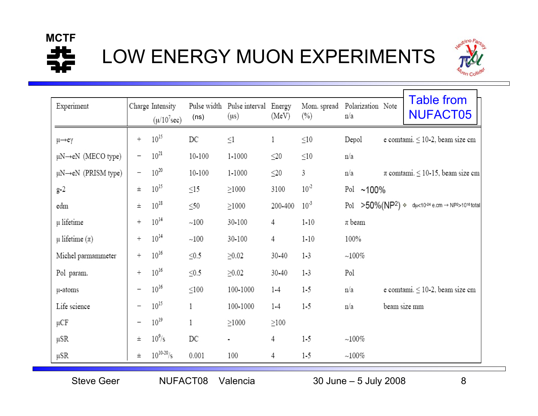



| Experiment                            |                          | Charge Intensity<br>$(\mu/10^7 \text{sec})$ | (ns)       | Pulse width Pulse interval Energy<br>$(\mu s)$ | (MeV)      | Mom. spread<br>$(\%)$ | Polarization Note<br>n/a |  | <b>Table from</b><br><b>NUFACT05</b>                              |
|---------------------------------------|--------------------------|---------------------------------------------|------------|------------------------------------------------|------------|-----------------------|--------------------------|--|-------------------------------------------------------------------|
| $\mu \rightarrow e \gamma$            | $^{+}$                   | $10^{15}$                                   | DC         | $\leq$ 1                                       | 1          | $\leq10$              | Depol                    |  | e comtami. $\leq 10-2$ , beam size cm                             |
| $\mu$ N $\rightarrow$ eN (MECO type)  | $\qquad \qquad -$        | $10^{21}$                                   | 10-100     | 1-1000                                         | $\leq$ 20  | $\leq$ 10             | n/a                      |  |                                                                   |
| $\mu$ N $\rightarrow$ eN (PRISM type) | $\qquad \qquad -$        | $10^{20}$                                   | 10-100     | 1-1000                                         | $\leq$ 20  | 3                     | n/a                      |  | $\pi$ comtami. $\leq$ 10-15, beam size cm                         |
| $g-2$                                 | $\pm$                    | $10^{15}$                                   | $\leq15$   | $\geq$ 1000                                    | 3100       | $10^{-2}$             | Pol $~100\%$             |  |                                                                   |
| edm                                   | $_{\pm}$                 | $10^{18}$                                   | $\leq 50$  | $\geq$ 1000                                    | 200-400    | $10^{-3}$             |                          |  | Pol >50%(NP <sup>2</sup> ) * $d\mu$ <10-24 e.cm -> NP2>1016 total |
| µ lifetime                            | $^{+}$                   | $10^{14}$                                   | $-100$     | 30-100                                         | 4          | $1 - 10$              | $\pi$ beam               |  |                                                                   |
| $\mu$ lifetime $(\pi)$                | $^{+}$                   | $10^{14}$                                   | $-100$     | 30-100                                         | 4          | $1 - 10$              | 100%                     |  |                                                                   |
| Michel parmammeter                    | $^{+}$                   | $10^{16}$                                   | $\leq 0.5$ | $\geq 0.02$                                    | 30-40      | $1 - 3$               | $-100\%$                 |  |                                                                   |
| Pol param.                            | $^{+}$                   | $10^{16}$                                   | $≤0.5$     | $\geq 0.02$                                    | 30-40      | $1 - 3$               | Pol                      |  |                                                                   |
| µ-atoms                               |                          | $10^{16}$                                   | $\leq100$  | 100-1000                                       | $1 - 4$    | $1-5$                 | n/a                      |  | e comtami. $\leq 10-2$ , beam size cm                             |
| Life science                          | $\overline{\phantom{0}}$ | $10^{15}$                                   | 1          | 100-1000                                       | $1 - 4$    | $1-5$                 | n/a                      |  | beam size mm                                                      |
| μCF                                   |                          | $10^{19}$                                   | 1          | $\geq$ 1000                                    | $\geq$ 100 |                       |                          |  |                                                                   |
| μSR                                   | Ŧ                        | $10^9$ /s                                   | DC         | $\blacksquare$                                 | 4          | $1 - 5$               | $-100\%$                 |  |                                                                   |
| μSR                                   | 土                        | $10^{10-20}/s$                              | 0.001      | 100                                            | 4          | $1-5$                 | $-100\%$                 |  |                                                                   |

Steve Geer MUFACT08 Valencia 30 June – 5 July 2008 8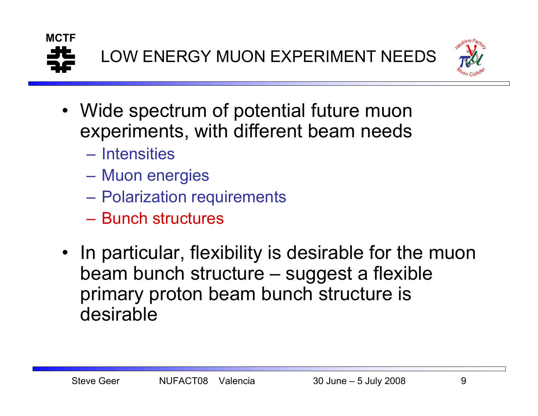



- Wide spectrum of potential future muon experiments, with different beam needs
	- Intensities
	- Muon energies
	- Polarization requirements
	- Bunch structures
- • In particular, flexibility is desirable for the muon beam bunch structure – suggest a flexible primary proton beam bunch structure is desirable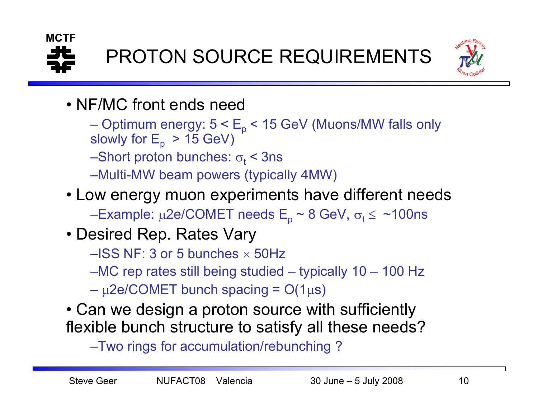



- NF/MC front ends need
	- Optimum energy: 5 < E<sub>p</sub> < 15 GeV (Muons/MW falls only<br>slowly for E<sub>p</sub> > 15 GeV)
	- –Short proton bunches:  $\sigma_{\rm t}$  < 3ns
	- –Multi-MW beam powers (typically 4MW)
- Low energy muon experiments have different needs –Example:  $\mu$ 2e/COMET needs E<sub>p</sub> ~ 8 GeV,  $\sigma_t$  ≤ ~100ns
- Desired Rep. Rates Vary
	- –ISS NF: 3 or 5 bunches  $\times$  50Hz
	- –MC rep rates still being studied typically 10 100 Hz
	- $\mu$ 2e/COMET bunch spacing = O(1 $\mu$ s)
- Can we design a proton source with sufficiently flexible bunch structure to satisfy all these needs?
	- –Two rings for accumulation/rebunching ?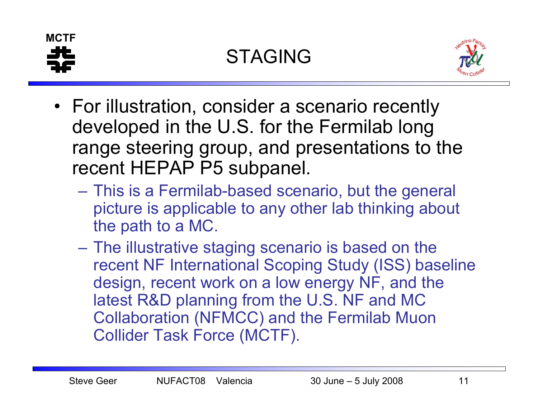



- For illustration, consider a scenario recently developed in the U.S. for the Fermilab long range steering group, and presentations to the recent HEPAP P5 subpanel.
	- $\mathcal{L}_{\mathcal{A}}$  This is a Fermilab-based scenario, but the general picture is applicable to any other lab thinking about the path to a MC.
	- – The illustrative staging scenario is based on the recent NF International Scoping Study (ISS) baseline design, recent work on a low energy NF, and the latest R&D planning from the U.S. NF and MC Collaboration (NFMCC) and the Fermilab Muon Collider Task Force (MCTF).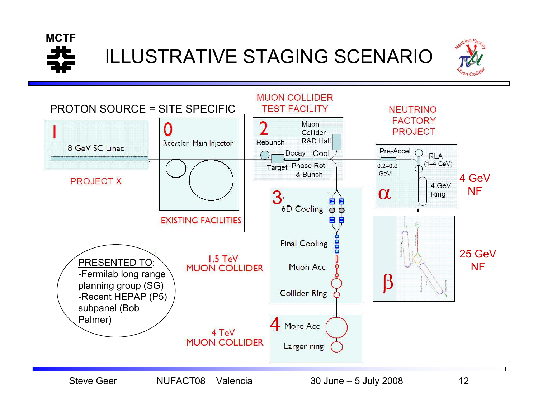

ILLUSTRATIVE STAGING SCENARIO





Steve Geer MUFACT08 Valencia 30 June – 5 July 2008 12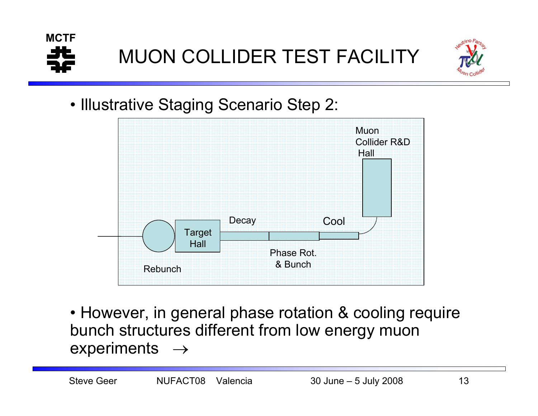



• Illustrative Staging Scenario Step 2:



• However, in general phase rotation & cooling require bunch structures different from low energy muon experiments  $\rightarrow$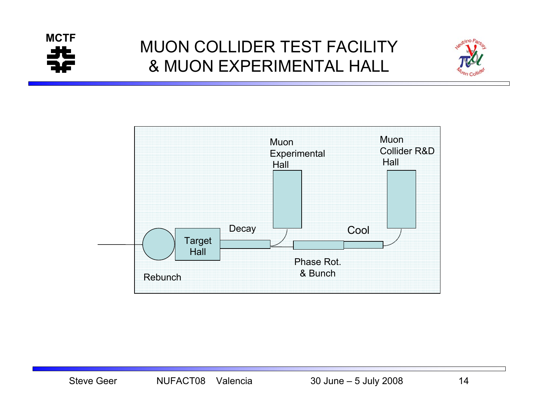

## MUON COLLIDER TEST FACILITY& MUON EXPERIMENTAL HALL



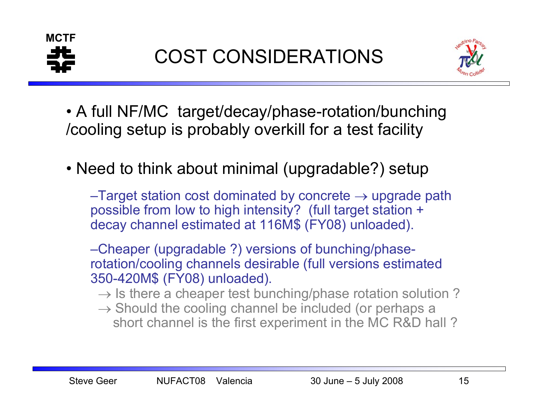



• A full NF/MC target/decay/phase-rotation/bunching /cooling setup is probably overkill for a test facility

• Need to think about minimal (upgradable?) setup

 $-Target$  station cost dominated by concrete  $\rightarrow$  upgrade path possible from low to high intensity? (full target station + decay channel estimated at 116M\$ (FY08) unloaded).

–Cheaper (upgradable ?) versions of bunching/phaserotation/cooling channels desirable (full versions estimated 350-420M\$ (FY08) unloaded).

- $\rightarrow$  Is there a cheaper test bunching/phase rotation solution ?
- $\rightarrow$  Should the cooling channel be included (or perhaps a short channel is the first experiment in the MC R&D hall ?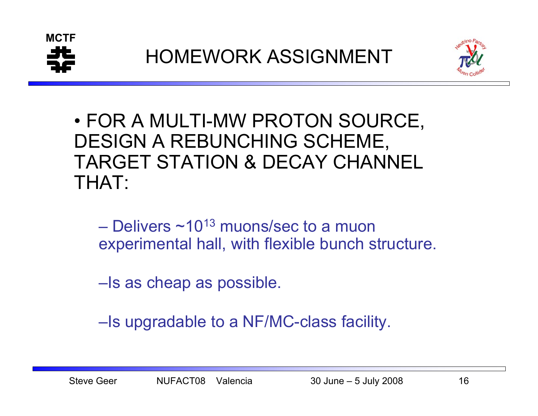



• FOR A MULTI-MW PROTON SOURCE, DESIGN A REBUNCHING SCHEME, TARGET STATION & DECAY CHANNEL THAT:

– Delivers  $\sim$ 10 $^{13}$  muons/sec to a muon experimental hall, with flexible bunch structure.

–Is as cheap as possible.

–Is upgradable to a NF/MC-class facility.